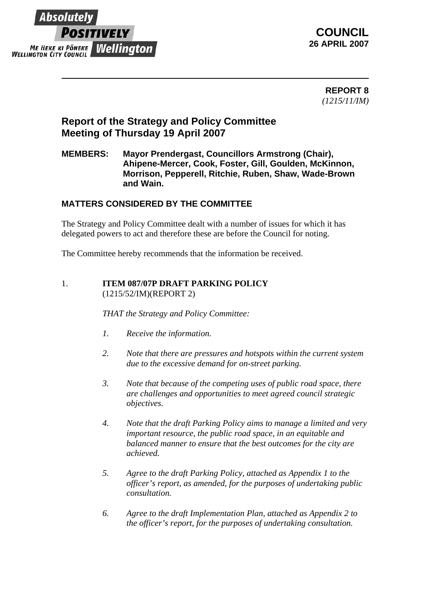

 **REPORT 8** *(1215/11/IM)*

## **Report of the Strategy and Policy Committee Meeting of Thursday 19 April 2007**

## **MEMBERS: Mayor Prendergast, Councillors Armstrong (Chair), Ahipene-Mercer, Cook, Foster, Gill, Goulden, McKinnon, Morrison, Pepperell, Ritchie, Ruben, Shaw, Wade-Brown and Wain.**

## **MATTERS CONSIDERED BY THE COMMITTEE**

The Strategy and Policy Committee dealt with a number of issues for which it has delegated powers to act and therefore these are before the Council for noting.

The Committee hereby recommends that the information be received.

1. **ITEM 087/07P DRAFT PARKING POLICY** (1215/52/IM)(REPORT 2)

*THAT the Strategy and Policy Committee:*

- *1. Receive the information.*
- *2. Note that there are pressures and hotspots within the current system due to the excessive demand for on-street parking.*
- *3. Note that because of the competing uses of public road space, there are challenges and opportunities to meet agreed council strategic objectives.*
- *4. Note that the draft Parking Policy aims to manage a limited and very important resource, the public road space, in an equitable and balanced manner to ensure that the best outcomes for the city are achieved.*
- *5. Agree to the draft Parking Policy, attached as Appendix 1 to the officer's report, as amended, for the purposes of undertaking public consultation.*
- *6. Agree to the draft Implementation Plan, attached as Appendix 2 to the officer's report, for the purposes of undertaking consultation.*